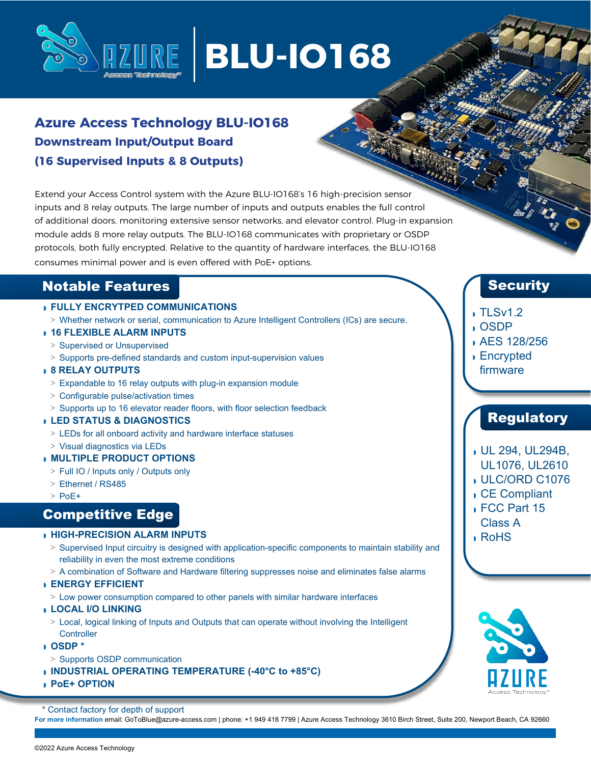

# **BLU-IO168**

## **Azure Access Technology BLU-IO168 Downstream Input/Output Board (16 Supervised Inputs & 8 Outputs)**

Extend your Access Control system with the Azure BLU-IO168's 16 high-precision sensor inputs and 8 relay outputs. The large number of inputs and outputs enables the full control of additional doors, monitoring extensive sensor networks, and elevator control. Plug-in expansion module adds 8 more relay outputs. The BLU-IO168 communicates with proprietary or OSDP protocols, both fully encrypted. Relative to the quantity of hardware interfaces, the BLU-IO168 consumes minimal power and is even offered with PoE+ options.

## Notable Features

### ◗ **FULLY ENCRYTPED COMMUNICATIONS**

- **>** Whether network or serial, communication to Azure Intelligent Controllers (ICs) are secure.
- ◗ **16 FLEXIBLE ALARM INPUTS**
- **>** Supervised or Unsupervised
- **>** Supports pre-defined standards and custom input-supervision values

#### ◗ **8 RELAY OUTPUTS**

- **>** Expandable to 16 relay outputs with plug-in expansion module
- **>** Configurable pulse/activation times
- **>** Supports up to 16 elevator reader floors, with floor selection feedback

#### ◗ **LED STATUS & DIAGNOSTICS**

- **>** LEDs for all onboard activity and hardware interface statuses
- **>** Visual diagnostics via LEDs

#### ◗ **MULTIPLE PRODUCT OPTIONS**

- **>** Full IO / Inputs only / Outputs only
- **>** Ethernet / RS485
- **>** PoE+

## Competitive Edge

#### ◗ **HIGH-PRECISION ALARM INPUTS**

- **>** Supervised Input circuitry is designed with application-specific components to maintain stability and reliability in even the most extreme conditions
- **>** A combination of Software and Hardware filtering suppresses noise and eliminates false alarms

#### ◗ **ENERGY EFFICIENT**

- **>** Low power consumption compared to other panels with similar hardware interfaces
- ◗ **LOCAL I/O LINKING**
	- **>** Local, logical linking of Inputs and Outputs that can operate without involving the Intelligent **Controller**
- ◗ **OSDP \***
- **>** Supports OSDP communication
- ◗ **INDUSTRIAL OPERATING TEMPERATURE (-40°C to +85°C)**
- ◗ **PoE+ OPTION**

\* Contact factory for depth of support

**For more information** email[: GoToBlue@azure-access.com |](mailto:GoToBlue@azure-access.com) phone: +1 949 418 7799 | Azure Access Technology 3610 Birch Street, Suite 200, Newport Beach, CA 92660

## **Security**

## ◗ TLSv1.2

- ◗ OSDP
- ◗ AES 128/256
- ◗ Encrypted firmware

## Regulatory

- ◗ UL 294, UL294B,
- UL1076, UL2610
- ◗ ULC/ORD C1076
- ◗ CE Compliant
- ◗ FCC Part 15 Class A
- ◗ RoHS